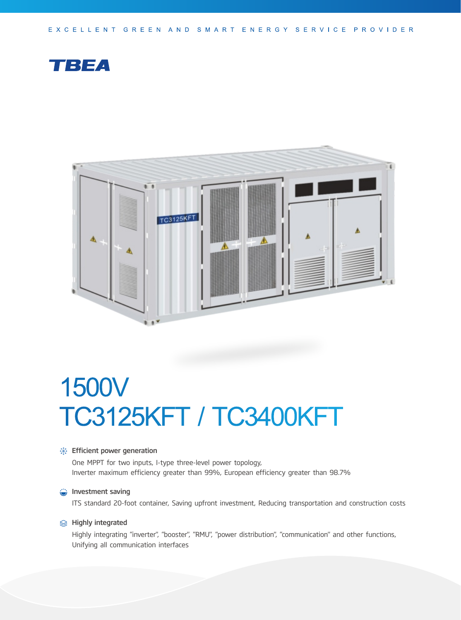EXCELLENT GREEN AND SMART ENERGY SERVICE PROVIDER





# 1500V TC3125KFT / TC3400KFT

### **Solutions**: Efficient power generation

One MPPT for two inputs, I-type three-level power topology, Inverter maximum efficiency greater than 99%, European efficiency greater than 98.7%

#### **Investment saving**

ITS standard 20-foot container, Saving upfront investment, Reducing transportation and construction costs

#### **<del>
</del>**  Highly integrated

Highly integrating "inverter", "booster", "RMU", "power distribution", "communication" and other functions, Unifying all communication interfaces